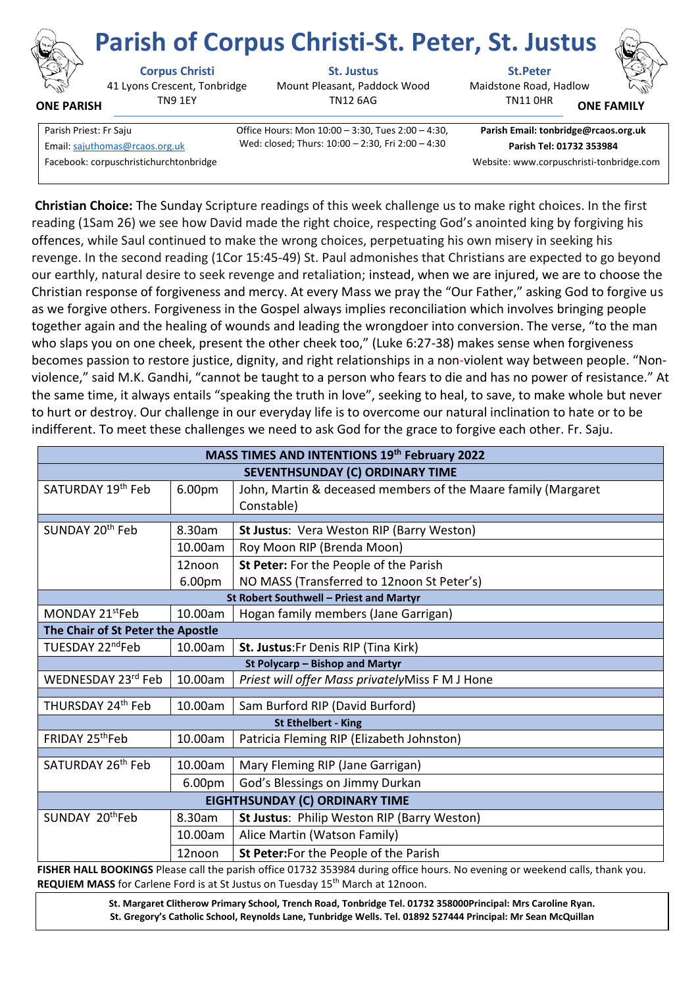

**ONE PARISH**

# **Corpus Christi St. Justus St.Peter Parish of Corpus Christi-St. Peter, St. Justus**

41 Lyons Crescent, Tonbridge TN9 1EY

Mount Pleasant, Paddock Wood TN12 6AG



**ONE FAMILY**

| Parish Priest: Fr Saju                 | Office Hours: Mon 10:00 - 3:30, Tues 2:00 - 4:30, | Parish Email: tonbridge@rcaos.  |
|----------------------------------------|---------------------------------------------------|---------------------------------|
| Email: sajuthomas@rcaos.org.uk         | Wed: closed; Thurs: 10:00 - 2:30, Fri 2:00 - 4:30 | Parish Tel: 01732 353984        |
| Facebook: corpuschristichurchtonbridge |                                                   | Website: www.corpuschristi-tonb |

 $\text{urs: } \text{Mon } 10:00 - 3:30, \text{ Tues } 2:00 - 4:30,$ 

**Parish Email: tonbridge@rcaos.org.uk** Website: www.corpuschristi-tonbridge.com

TN11 0HR

**Christian Choice:** The Sunday Scripture readings of this week challenge us to make right choices. In the first reading (1Sam 26) we see how David made the right choice, respecting God's anointed king by forgiving his offences, while Saul continued to make the wrong choices, perpetuating his own misery in seeking his revenge. In the second reading (1Cor 15:45-49) St. Paul admonishes that Christians are expected to go beyond our earthly, natural desire to seek revenge and retaliation; instead, when we are injured, we are to choose the Christian response of forgiveness and mercy. At every Mass we pray the "Our Father," asking God to forgive us as we forgive others. Forgiveness in the Gospel always implies reconciliation which involves bringing people together again and the healing of wounds and leading the wrongdoer into conversion. The verse, "to the man who slaps you on one cheek, present the other cheek too," (Luke 6:27-38) makes sense when forgiveness becomes passion to restore justice, dignity, and right relationships in a non-violent way between people. "Nonviolence," said M.K. Gandhi, "cannot be taught to a person who fears to die and has no power of resistance." At the same time, it always entails "speaking the truth in love", seeking to heal, to save, to make whole but never to hurt or destroy. Our challenge in our everyday life is to overcome our natural inclination to hate or to be indifferent. To meet these challenges we need to ask God for the grace to forgive each other. Fr. Saju.

| <b>MASS TIMES AND INTENTIONS 19th February 2022</b> |                    |                                                               |  |  |
|-----------------------------------------------------|--------------------|---------------------------------------------------------------|--|--|
| SEVENTHSUNDAY (C) ORDINARY TIME                     |                    |                                                               |  |  |
| SATURDAY 19 <sup>th</sup> Feb                       | 6.00pm             | John, Martin & deceased members of the Maare family (Margaret |  |  |
|                                                     |                    | Constable)                                                    |  |  |
| SUNDAY 20 <sup>th</sup> Feb<br>8.30am               |                    | St Justus: Vera Weston RIP (Barry Weston)                     |  |  |
|                                                     | 10.00am            | Roy Moon RIP (Brenda Moon)                                    |  |  |
|                                                     | 12noon             | St Peter: For the People of the Parish                        |  |  |
|                                                     | 6.00 <sub>pm</sub> | NO MASS (Transferred to 12noon St Peter's)                    |  |  |
| St Robert Southwell - Priest and Martyr             |                    |                                                               |  |  |
| MONDAY 21 <sup>st</sup> Feb                         | 10.00am            | Hogan family members (Jane Garrigan)                          |  |  |
| The Chair of St Peter the Apostle                   |                    |                                                               |  |  |
| TUESDAY 22 <sup>nd</sup> Feb                        | 10.00am            | St. Justus: Fr Denis RIP (Tina Kirk)                          |  |  |
| St Polycarp - Bishop and Martyr                     |                    |                                                               |  |  |
| WEDNESDAY 23rd Feb                                  | 10.00am            | Priest will offer Mass privatelyMiss F M J Hone               |  |  |
| THURSDAY 24 <sup>th</sup> Feb                       | 10.00am            | Sam Burford RIP (David Burford)                               |  |  |
| <b>St Ethelbert - King</b>                          |                    |                                                               |  |  |
| FRIDAY 25 <sup>th</sup> Feb                         | 10.00am            | Patricia Fleming RIP (Elizabeth Johnston)                     |  |  |
|                                                     |                    |                                                               |  |  |
| SATURDAY 26 <sup>th</sup> Feb                       | 10.00am            | Mary Fleming RIP (Jane Garrigan)                              |  |  |
|                                                     | 6.00pm             | God's Blessings on Jimmy Durkan                               |  |  |
| EIGHTHSUNDAY (C) ORDINARY TIME                      |                    |                                                               |  |  |
| SUNDAY 20thFeb                                      | 8.30am             | St Justus: Philip Weston RIP (Barry Weston)                   |  |  |
|                                                     | 10.00am            | Alice Martin (Watson Family)                                  |  |  |
|                                                     | 12noon             | St Peter: For the People of the Parish                        |  |  |

**FISHER HALL BOOKINGS** Please call the parish office 01732 353984 during office hours. No evening or weekend calls, thank you. REQUIEM MASS for Carlene Ford is at St Justus on Tuesday 15<sup>th</sup> March at 12noon.

> **St. Margaret Clitherow Primary School, Trench Road, Tonbridge Tel. 01732 358000Principal: Mrs Caroline Ryan. St. Gregory's Catholic School, Reynolds Lane, Tunbridge Wells. Tel. 01892 527444 Principal: Mr Sean McQuillan**